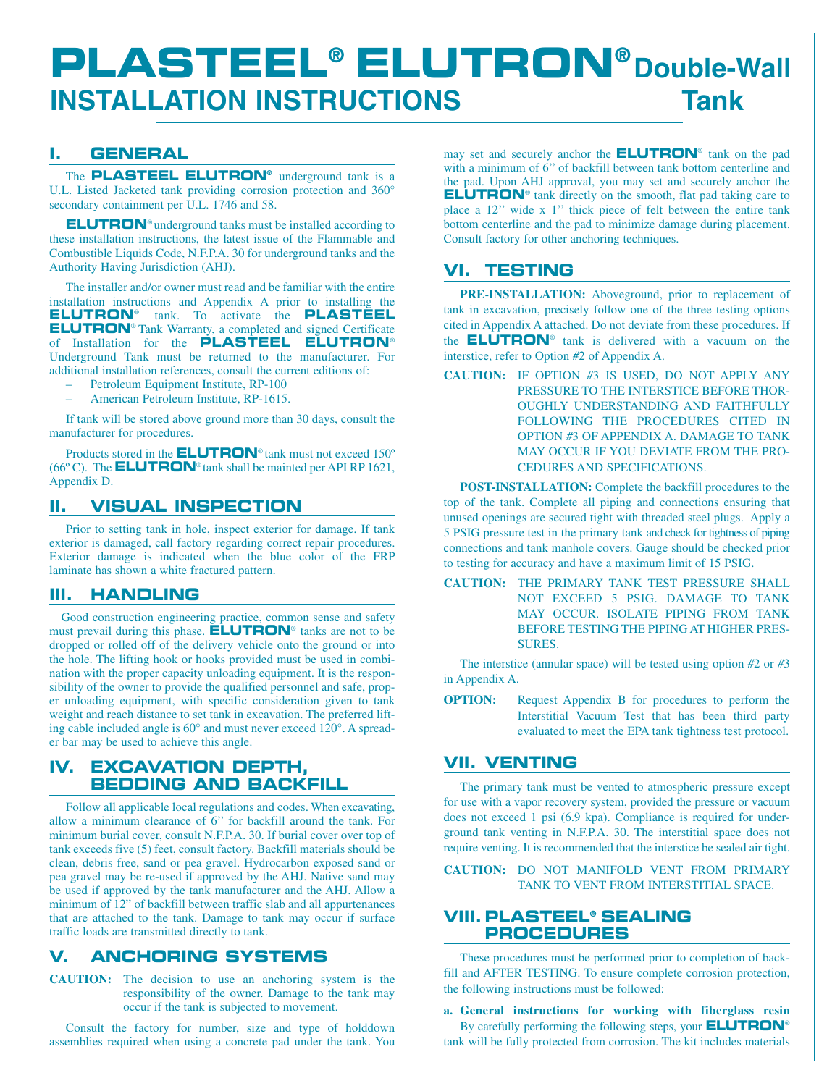# **PLASTEEL® ELUTRON® Double-Wall INSTALLATION INSTRUCTIONS Tank**

# **I. GENERAL**

The **PLASTEEL ELUTRON®** underground tank is a U.L. Listed Jacketed tank providing corrosion protection and 360° secondary containment per U.L. 1746 and 58.

**ELUTRON**® underground tanks must be installed according to these installation instructions, the latest issue of the Flammable and Combustible Liquids Code, N.F.P.A. 30 for underground tanks and the Authority Having Jurisdiction (AHJ).

The installer and/or owner must read and be familiar with the entire installation instructions and Appendix A prior to installing the **ELUTRON**® tank. To activate the **PLASTEEL ELUTRON**® Tank Warranty, a completed and signed Certificate of Installation for the **PLASTEEL ELUTRON**® Underground Tank must be returned to the manufacturer. For additional installation references, consult the current editions of:

- Petroleum Equipment Institute, RP-100
- American Petroleum Institute, RP-1615.

If tank will be stored above ground more than 30 days, consult the manufacturer for procedures.

Products stored in the **ELUTRON**® tank must not exceed 150º (66º C). The **ELUTRON**® tank shall be mainted per API RP 1621, Appendix D.

# **II. VISUAL INSPECTION**

Prior to setting tank in hole, inspect exterior for damage. If tank exterior is damaged, call factory regarding correct repair procedures. Exterior damage is indicated when the blue color of the FRP laminate has shown a white fractured pattern.

## **III. HANDLING**

Good construction engineering practice, common sense and safety must prevail during this phase. **ELUTRON**® tanks are not to be dropped or rolled off of the delivery vehicle onto the ground or into the hole. The lifting hook or hooks provided must be used in combination with the proper capacity unloading equipment. It is the responsibility of the owner to provide the qualified personnel and safe, proper unloading equipment, with specific consideration given to tank weight and reach distance to set tank in excavation. The preferred lifting cable included angle is 60° and must never exceed 120°. A spreader bar may be used to achieve this angle.

# **IV. EXCAVATION DEPTH, BEDDING AND BACKFILL**

Follow all applicable local regulations and codes. When excavating, allow a minimum clearance of 6'' for backfill around the tank. For minimum burial cover, consult N.F.P.A. 30. If burial cover over top of tank exceeds five (5) feet, consult factory. Backfill materials should be clean, debris free, sand or pea gravel. Hydrocarbon exposed sand or pea gravel may be re-used if approved by the AHJ. Native sand may be used if approved by the tank manufacturer and the AHJ. Allow a minimum of 12" of backfill between traffic slab and all appurtenances that are attached to the tank. Damage to tank may occur if surface traffic loads are transmitted directly to tank.

# **V. ANCHORING SYSTEMS**

**CAUTION:** The decision to use an anchoring system is the responsibility of the owner. Damage to the tank may occur if the tank is subjected to movement.

Consult the factory for number, size and type of holddown assemblies required when using a concrete pad under the tank. You may set and securely anchor the **ELUTRON**® tank on the pad with a minimum of 6'' of backfill between tank bottom centerline and the pad. Upon AHJ approval, you may set and securely anchor the **ELUTRON**® tank directly on the smooth, flat pad taking care to place a 12'' wide x 1'' thick piece of felt between the entire tank bottom centerline and the pad to minimize damage during placement. Consult factory for other anchoring techniques.

# **VI. TESTING**

**PRE-INSTALLATION:** Aboveground, prior to replacement of tank in excavation, precisely follow one of the three testing options cited in Appendix A attached. Do not deviate from these procedures. If the **ELUTRON**® tank is delivered with a vacuum on the interstice, refer to Option *#*2 of Appendix A.

**CAUTION:** IF OPTION *#*3 IS USED, DO NOT APPLY ANY PRESSURE TO THE INTERSTICE BEFORE THOR-OUGHLY UNDERSTANDING AND FAITHFULLY FOLLOWING THE PROCEDURES CITED IN OPTION *#*3 OF APPENDIX A. DAMAGE TO TANK MAY OCCUR IF YOU DEVIATE FROM THE PRO-CEDURES AND SPECIFICATIONS.

**POST-INSTALLATION:** Complete the backfill procedures to the top of the tank. Complete all piping and connections ensuring that unused openings are secured tight with threaded steel plugs. Apply a 5 PSIG pressure test in the primary tank and check for tightness of piping connections and tank manhole covers. Gauge should be checked prior to testing for accuracy and have a maximum limit of 15 PSIG.

**CAUTION:** THE PRIMARY TANK TEST PRESSURE SHALL NOT EXCEED 5 PSIG. DAMAGE TO TANK MAY OCCUR. ISOLATE PIPING FROM TANK BEFORE TESTING THE PIPING AT HIGHER PRES-SURES.

The interstice (annular space) will be tested using option *#*2 or *#*3 in Appendix A.

**OPTION:** Request Appendix B for procedures to perform the Interstitial Vacuum Test that has been third party evaluated to meet the EPA tank tightness test protocol.

# **VII. VENTING**

The primary tank must be vented to atmospheric pressure except for use with a vapor recovery system, provided the pressure or vacuum does not exceed 1 psi (6.9 kpa). Compliance is required for underground tank venting in N.F.P.A. 30. The interstitial space does not require venting. It is recommended that the interstice be sealed air tight.

**CAUTION:** DO NOT MANIFOLD VENT FROM PRIMARY TANK TO VENT FROM INTERSTITIAL SPACE.

# **VIII. PLASTEEL® SEALING PROCEDURES**

These procedures must be performed prior to completion of backfill and AFTER TESTING. To ensure complete corrosion protection, the following instructions must be followed:

**a. General instructions for working with fiberglass resin** By carefully performing the following steps, your **ELUTRON**® tank will be fully protected from corrosion. The kit includes materials